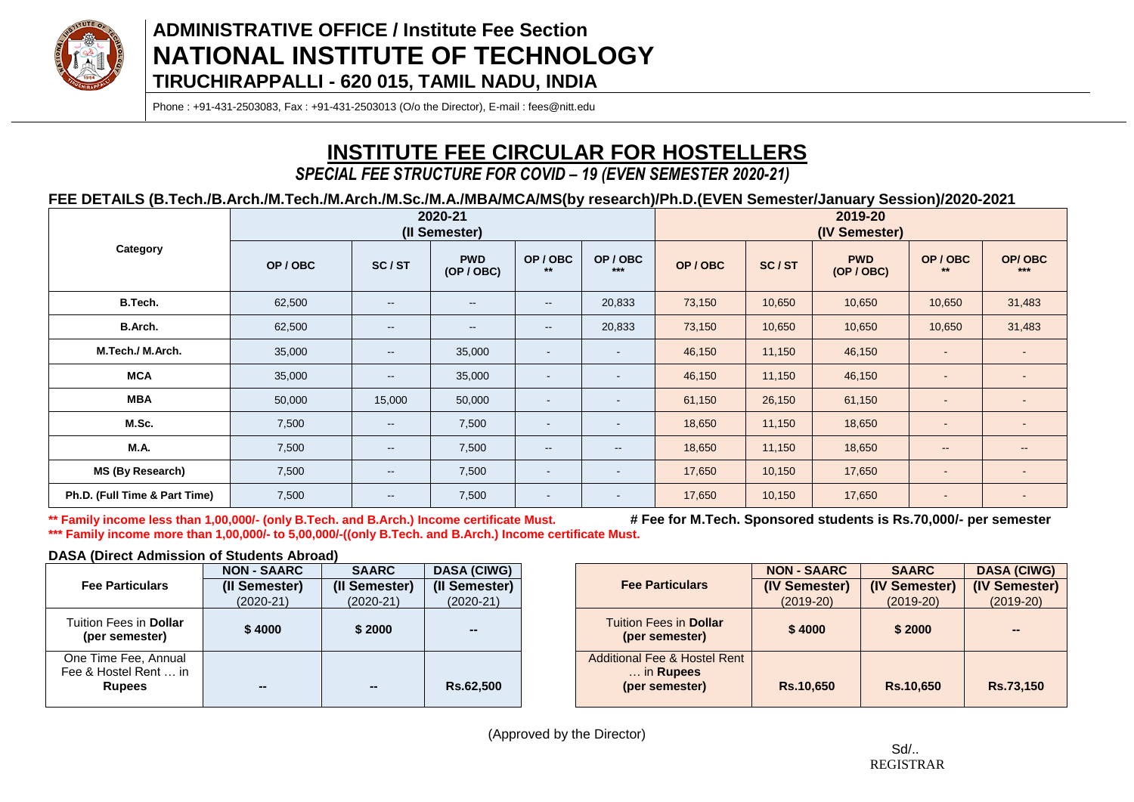

Phone : +91-431-2503083, Fax : +91-431-2503013 (O/o the Director), E-mail : fees@nitt.edu

# **INSTITUTE FEE CIRCULAR FOR HOSTELLERS**

### *SPECIAL FEE STRUCTURE FOR COVID – 19 (EVEN SEMESTER 2020-21)*

**FEE DETAILS (B.Tech./B.Arch./M.Tech./M.Arch./M.Sc./M.A./MBA/MCA/MS(by research)/Ph.D.(EVEN Semester/January Session)/2020-2021**

|                               |        |                          | 2020-21<br>(II Semester) |                                                |                          | 2019-20<br>(IV Semester) |        |                          |                          |                          |  |
|-------------------------------|--------|--------------------------|--------------------------|------------------------------------------------|--------------------------|--------------------------|--------|--------------------------|--------------------------|--------------------------|--|
| Category                      | OP/OBC | SC/ST                    | <b>PWD</b><br>(OP / OBC) | OP/OBC<br>$***$                                | OP/OBC<br>$***$          | OP/OBC                   | SC/ST  | <b>PWD</b><br>(OP / OBC) | OP/OBC<br>$***$          | OP/OBC<br>$***$          |  |
| B.Tech.                       | 62,500 | $\overline{\phantom{a}}$ | $\overline{\phantom{a}}$ | $\overline{\phantom{a}}$                       | 20,833                   | 73,150                   | 10,650 | 10,650                   | 10,650                   | 31,483                   |  |
| B.Arch.                       | 62,500 | $\sim$                   | $\sim$                   | $\hspace{0.1mm}-\hspace{0.1mm}-\hspace{0.1mm}$ | 20,833                   | 73,150                   | 10,650 | 10,650                   | 10,650                   | 31,483                   |  |
| M.Tech./ M.Arch.              | 35,000 | $\sim$                   | 35,000                   | $\overline{\phantom{a}}$                       | $\overline{\phantom{a}}$ | 46,150                   | 11,150 | 46,150                   | $\overline{\phantom{a}}$ |                          |  |
| <b>MCA</b>                    | 35,000 | $\sim$                   | 35,000                   | $\sim$                                         | $\blacksquare$           | 46,150                   | 11,150 | 46,150                   | $\sim$                   |                          |  |
| <b>MBA</b>                    | 50,000 | 15,000                   | 50,000                   | $\overline{\phantom{a}}$                       | $\blacksquare$           | 61,150                   | 26,150 | 61,150                   | $\overline{\phantom{a}}$ |                          |  |
| M.Sc.                         | 7,500  | $\overline{\phantom{a}}$ | 7,500                    | $\overline{\phantom{a}}$                       | $\blacksquare$           | 18,650                   | 11,150 | 18,650                   | $\overline{\phantom{a}}$ |                          |  |
| <b>M.A.</b>                   | 7,500  | $\overline{\phantom{a}}$ | 7,500                    | $\sim$                                         | $\overline{\phantom{a}}$ | 18,650                   | 11,150 | 18,650                   | $\sim$ $-$               | $\sim$                   |  |
| MS (By Research)              | 7,500  | $\overline{\phantom{a}}$ | 7,500                    | $\overline{\phantom{a}}$                       | $\blacksquare$           | 17,650                   | 10,150 | 17,650                   | -                        |                          |  |
| Ph.D. (Full Time & Part Time) | 7,500  | $\overline{\phantom{a}}$ | 7,500                    | $\overline{\phantom{a}}$                       | $\sim$                   | 17,650                   | 10,150 | 17,650                   | $\overline{\phantom{a}}$ | $\overline{\phantom{a}}$ |  |

**\*\* Family income less than 1,00,000/- (only B.Tech. and B.Arch.) Income certificate Must. # Fee for M.Tech. Sponsored students is Rs.70,000/- per semester \*\*\* Family income more than 1,00,000/- to 5,00,000/-((only B.Tech. and B.Arch.) Income certificate Must.**

### **DASA (Direct Admission of Students Abroad)**

|                                                                | <b>NON - SAARC</b> | <b>SAARC</b>  | <b>DASA (CIWG)</b> |
|----------------------------------------------------------------|--------------------|---------------|--------------------|
| <b>Fee Particulars</b>                                         | (II Semester)      | (II Semester) | (II Semester)      |
|                                                                | $(2020-21)$        | (2020-21)     | $(2020-21)$        |
| Tuition Fees in <b>Dollar</b><br>(per semester)                | \$4000             | \$2000        |                    |
| One Time Fee, Annual<br>Fee & Hostel Rent  in<br><b>Rupees</b> |                    |               | Rs.62,500          |

|                                                                        | <b>NON - SAARC</b> | <b>SAARC</b>  | <b>DASA (CIWG)</b> |
|------------------------------------------------------------------------|--------------------|---------------|--------------------|
| <b>Fee Particulars</b>                                                 | (IV Semester)      | (IV Semester) | (IV Semester)      |
|                                                                        | $(2019-20)$        | $(2019-20)$   | $(2019-20)$        |
| <b>Tuition Fees in Dollar</b><br>(per semester)                        | \$4000             | \$2000        | --                 |
| <b>Additional Fee &amp; Hostel Rent</b><br>in Rupees<br>(per semester) | Rs.10,650          | Rs.10,650     | Rs.73,150          |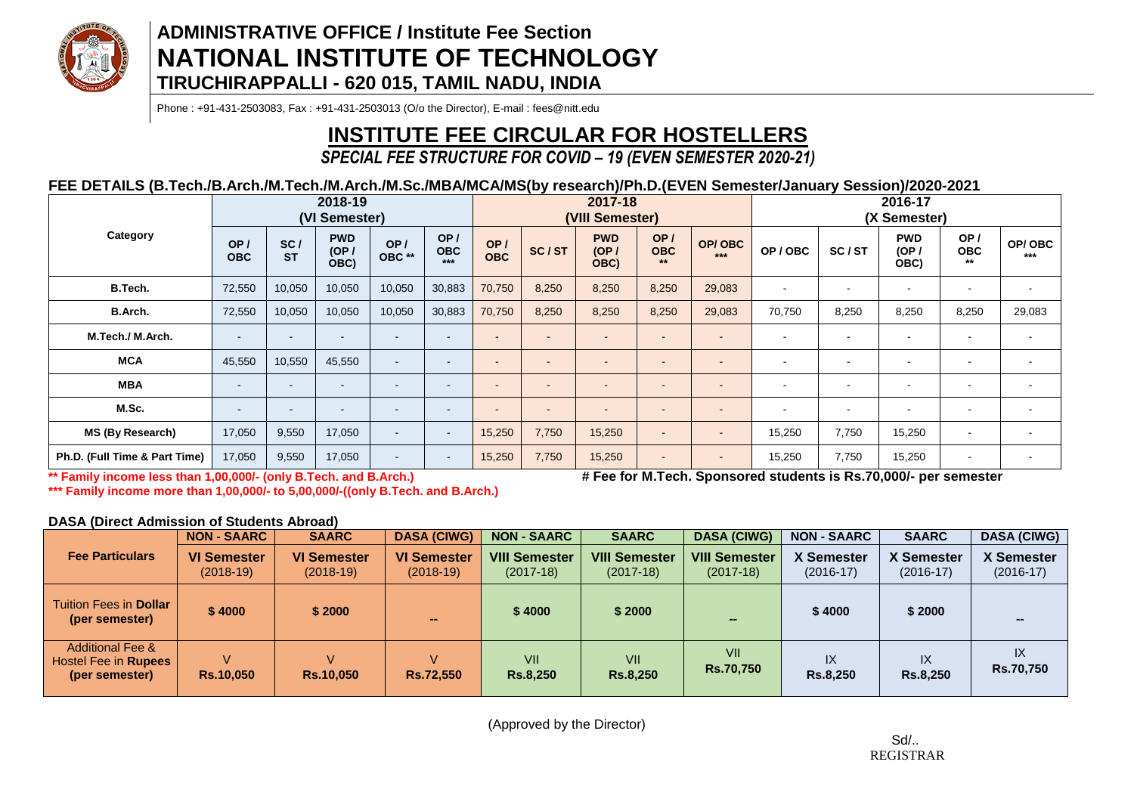

Phone : +91-431-2503083, Fax : +91-431-2503013 (O/o the Director), E-mail : fees@nitt.edu

# **INSTITUTE FEE CIRCULAR FOR HOSTELLERS**

### *SPECIAL FEE STRUCTURE FOR COVID – 19 (EVEN SEMESTER 2020-21)*

### **FEE DETAILS (B.Tech./B.Arch./M.Tech./M.Arch./M.Sc./MBA/MCA/MS(by research)/Ph.D.(EVEN Semester/January Session)/2020-2021**

|                               | 2018-19<br>(VI Semester) |                          |                            |               |                            |                          | 2017-18<br>(VIII Semester) |                            |                           |                          |                          | 2016-17<br>(X Semester)  |                            |                            |                 |
|-------------------------------|--------------------------|--------------------------|----------------------------|---------------|----------------------------|--------------------------|----------------------------|----------------------------|---------------------------|--------------------------|--------------------------|--------------------------|----------------------------|----------------------------|-----------------|
| Category                      | OP/<br><b>OBC</b>        | SC/<br><b>ST</b>         | <b>PWD</b><br>(OP)<br>OBC) | OP/<br>OBC ** | OP/<br><b>OBC</b><br>$***$ | OP/<br><b>OBC</b>        | SC/ST                      | <b>PWD</b><br>(OP)<br>OBC) | OP/<br><b>OBC</b><br>$**$ | OP/OBC<br>$***$          | OP/OBC                   | SC/ST                    | <b>PWD</b><br>(OP)<br>OBC) | OP/<br><b>OBC</b><br>$***$ | OP/OBC<br>$***$ |
| B.Tech.                       | 72,550                   | 10,050                   | 10,050                     | 10,050        | 30,883                     | 70,750                   | 8,250                      | 8,250                      | 8,250                     | 29,083                   | $\sim$                   | $\overline{\phantom{a}}$ | $\blacksquare$             | ۰                          | $\blacksquare$  |
| B.Arch.                       | 72,550                   | 10,050                   | 10,050                     | 10,050        | 30,883                     | 70,750                   | 8,250                      | 8,250                      | 8,250                     | 29,083                   | 70,750                   | 8,250                    | 8,250                      | 8,250                      | 29,083          |
| M.Tech./ M.Arch.              | $\,$ $\,$                | $\,$                     |                            |               | $\sim$                     |                          | $\sim$                     | $\overline{\phantom{a}}$   | ۰                         | $\blacksquare$           | $\overline{\phantom{0}}$ | $\blacksquare$           | $\blacksquare$             | $\blacksquare$             | $\,$ $\,$       |
| <b>MCA</b>                    | 45,550                   | 10,550                   | 45,550                     |               | . .                        | $\overline{\phantom{a}}$ | -                          | $\overline{\phantom{a}}$   | ۰                         | $\overline{\phantom{0}}$ | $\overline{\phantom{0}}$ | $\overline{\phantom{0}}$ | $\overline{\phantom{0}}$   | $\blacksquare$             | $\blacksquare$  |
| <b>MBA</b>                    | $\overline{\phantom{a}}$ | $\sim$                   | -                          |               | $\sim$                     | $\overline{\phantom{a}}$ | $\sim$                     | $\overline{a}$             | $\sim$                    | $\overline{\phantom{a}}$ | $\blacksquare$           | $\blacksquare$           | $\overline{\phantom{a}}$   | $\blacksquare$             | $\sim$          |
| M.Sc.                         | $\sim$                   | $\overline{\phantom{a}}$ | ۰                          |               | $\overline{\phantom{a}}$   | $\overline{\phantom{a}}$ | $\overline{\phantom{a}}$   | $\overline{a}$             | $\sim$                    | $\overline{\phantom{a}}$ | $\blacksquare$           | $\overline{\phantom{a}}$ | $\blacksquare$             | ۰                          | $\sim$          |
| MS (By Research)              | 17,050                   | 9,550                    | 17,050                     | $\sim$        | $\sim$                     | 15,250                   | 7,750                      | 15,250                     | $\sim$                    | $\overline{\phantom{a}}$ | 15,250                   | 7,750                    | 15,250                     | $\blacksquare$             | $\sim$          |
| Ph.D. (Full Time & Part Time) | 17,050                   | 9,550                    | 17,050                     |               | $\sim$                     | 15,250                   | 7,750                      | 15,250                     | $\sim$                    | $\blacksquare$           | 15,250                   | 7,750                    | 15,250                     | $\blacksquare$             | $\sim$          |

**\*\* Family income less than 1,00,000/- (only B.Tech. and B.Arch.) # Fee for M.Tech. Sponsored students is Rs.70,000/- per semester**

**\*\*\* Family income more than 1,00,000/- to 5,00,000/-((only B.Tech. and B.Arch.)**

**DASA (Direct Admission of Students Abroad)**

|                                                                       | <b>NON - SAARC</b>                | <b>SAARC</b>                      | <b>DASA (CIWG)</b>                | <b>NON - SAARC</b>                  | <b>SAARC</b>                        | <b>DASA (CIWG)</b>                  | <b>NON - SAARC</b>               | <b>SAARC</b>              | <b>DASA (CIWG)</b>               |
|-----------------------------------------------------------------------|-----------------------------------|-----------------------------------|-----------------------------------|-------------------------------------|-------------------------------------|-------------------------------------|----------------------------------|---------------------------|----------------------------------|
| <b>Fee Particulars</b>                                                | <b>VI Semester</b><br>$(2018-19)$ | <b>VI Semester</b><br>$(2018-19)$ | <b>VI Semester</b><br>$(2018-19)$ | <b>VIII Semester</b><br>$(2017-18)$ | <b>VIII Semester</b><br>$(2017-18)$ | <b>VIII Semester</b><br>$(2017-18)$ | <b>X Semester</b><br>$(2016-17)$ | X Semester<br>$(2016-17)$ | <b>X Semester</b><br>$(2016-17)$ |
| Tuition Fees in <b>Dollar</b><br>(per semester)                       | \$4000                            | \$2000                            | $\sim$                            | \$4000                              | \$2000                              |                                     | \$4000                           | \$2000                    |                                  |
| <b>Additional Fee &amp;</b><br>Hostel Fee in Rupees<br>(per semester) | V<br><b>Rs.10,050</b>             | v<br><b>Rs.10,050</b>             | V<br>Rs.72,550                    | VII<br><b>Rs.8,250</b>              | VII<br><b>Rs.8,250</b>              | VII<br><b>Rs.70,750</b>             | IX<br><b>Rs.8,250</b>            | IX<br><b>Rs.8,250</b>     | IX<br><b>Rs.70,750</b>           |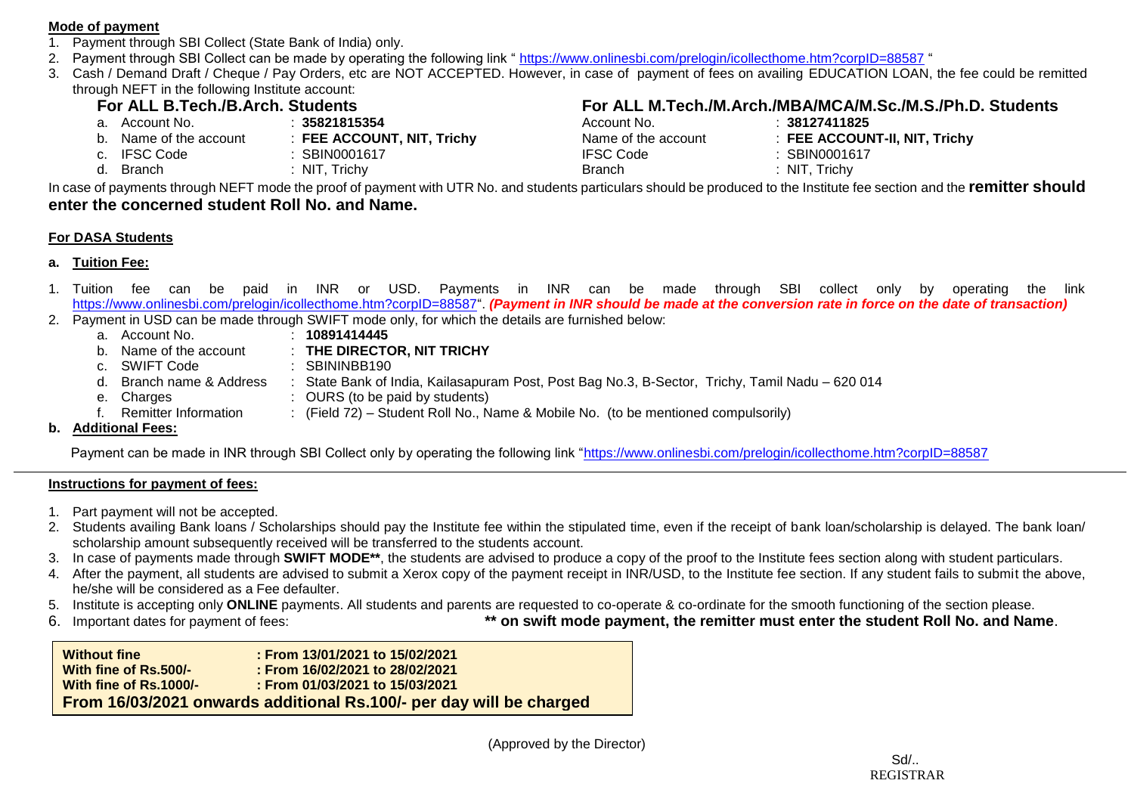#### **Mode of payment**

- 1. Payment through SBI Collect (State Bank of India) only.
- 2. Payment through SBI Collect can be made by operating the following link "<https://www.onlinesbi.com/prelogin/icollecthome.htm?corpID=88587> "
- 3. Cash / Demand Draft / Cheque / Pay Orders, etc are NOT ACCEPTED. However, in case of payment of fees on availing EDUCATION LOAN, the fee could be remitted through NEFT in the following Institute account:

- a. Account No. : **35821815354** Account No. : **38127411825**
- b. Name of the account : **FEE ACCOUNT, NIT, Trichy**<br>C. IFSC Code : **SBIN0001617** 
	-
- 

# **For ALL B.Tech./B.Arch. Students**<br> **For ALL M.Tech./M.Arch./MBA/MCA/M.Sc./M.S./Ph.D. Students**<br>
Account No. 138127411825<br>
Account No. 138127411825

| a. Account No.         | 35821815354                | Account No.         | :38127411825                  |
|------------------------|----------------------------|---------------------|-------------------------------|
| b. Name of the account | : FEE ACCOUNT, NIT, Trichy | Name of the account | : FEE ACCOUNT-II, NIT, Trichy |
| c. IFSC Code           | SBIN0001617                | <b>IFSC Code</b>    | : SBIN0001617                 |
| d. Branch              | NIT, Trichy                | Branch              | :NIT, Trichy                  |

In case of payments through NEFT mode the proof of payment with UTR No. and students particulars should be produced to the Institute fee section and the **remitter should enter the concerned student Roll No. and Name.**

### **For DASA Students**

- **a. Tuition Fee:**
- 1. Tuition fee can be paid in INR or USD. Payments in INR can be made through SBI collect only by operating the link [https://www.onlinesbi.com/prelogin/icollecthome.htm?corpID=88587"](https://www.onlinesbi.com/prelogin/icollecthome.htm?corpID=88587). *(Payment in INR should be made at the conversion rate in force on the date of transaction)* 2. Payment in USD can be made through SWIFT mode only, for which the details are furnished below:
	- a. Account No. **10891414445**
	- b. Name of the account : **THE DIRECTOR, NIT TRICHY**
	- c. SWIFT Code : SBININBB190
	- d. Branch name & Address : State Bank of India, Kailasapuram Post, Post Bag No.3, B-Sector, Trichy, Tamil Nadu 620 014
	- e. Charges : OURS (to be paid by students)<br>f. Remitter Information : (Field 72) Student Roll No. N
		- : (Field 72) Student Roll No., Name & Mobile No. (to be mentioned compulsorily)

### **b. Additional Fees:**

Payment can be made in INR through SBI Collect only by operating the following link ["https://www.onlinesbi.com/prelogin/icollecthome.htm?corpID=88587](https://www.onlinesbi.com/prelogin/icollecthome.htm?corpID=88587)

### **Instructions for payment of fees:**

- 1. Part payment will not be accepted.
- 2. Students availing Bank loans / Scholarships should pay the Institute fee within the stipulated time, even if the receipt of bank loan/scholarship is delayed. The bank loan/ scholarship amount subsequently received will be transferred to the students account.
- 3. In case of payments made through **SWIFT MODE\*\***, the students are advised to produce a copy of the proof to the Institute fees section along with student particulars.
- 4. After the payment, all students are advised to submit a Xerox copy of the payment receipt in INR/USD, to the Institute fee section. If any student fails to submit the above, he/she will be considered as a Fee defaulter.
- 5. Institute is accepting only **ONLINE** payments. All students and parents are requested to co-operate & co-ordinate for the smooth functioning of the section please.
- 

6. Important dates for payment of fees: **\*\* on swift mode payment, the remitter must enter the student Roll No. and Name**.

| <b>Without fine</b>    | : From 13/01/2021 to 15/02/2021                                     |
|------------------------|---------------------------------------------------------------------|
| With fine of Rs.500/-  | : From 16/02/2021 to 28/02/2021                                     |
| With fine of Rs.1000/- | $:$ From 01/03/2021 to 15/03/2021                                   |
|                        | From 16/03/2021 onwards additional Rs.100/- per day will be charged |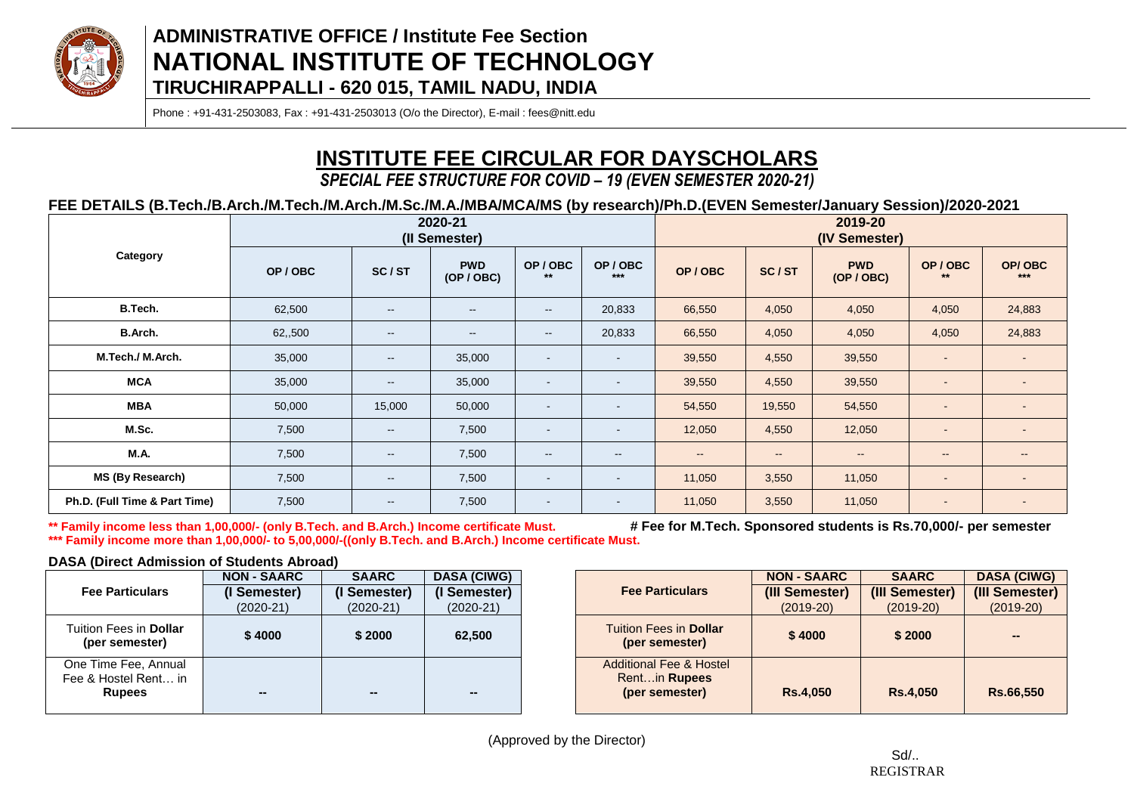

Phone : +91-431-2503083, Fax : +91-431-2503013 (O/o the Director), E-mail : fees@nitt.edu

# **INSTITUTE FEE CIRCULAR FOR DAYSCHOLARS**

*SPECIAL FEE STRUCTURE FOR COVID – 19 (EVEN SEMESTER 2020-21)*

### **FEE DETAILS (B.Tech./B.Arch./M.Tech./M.Arch./M.Sc./M.A./MBA/MCA/MS (by research)/Ph.D.(EVEN Semester/January Session)/2020-2021**

|                               |         |                          | 2020-21<br>(II Semester) |                                                |                          | 2019-20<br>(IV Semester) |                          |                          |                          |                 |  |
|-------------------------------|---------|--------------------------|--------------------------|------------------------------------------------|--------------------------|--------------------------|--------------------------|--------------------------|--------------------------|-----------------|--|
| Category                      | OP/OBC  | SC/ST                    | <b>PWD</b><br>(OP / OBC) | OP/OBC<br>$***$                                | OP/OBC<br>$***$          | OP/OBC                   | SC/ST                    | <b>PWD</b><br>(OP / OBC) | OP/OBC                   | OP/OBC<br>$***$ |  |
| B.Tech.                       | 62,500  | $\overline{\phantom{m}}$ | $\overline{\phantom{a}}$ | $\overline{\phantom{a}}$                       | 20,833                   | 66,550                   | 4,050                    | 4,050                    | 4,050                    | 24,883          |  |
| B.Arch.                       | 62,,500 | $\overline{\phantom{a}}$ | $\overline{\phantom{a}}$ | $\sim$                                         | 20,833                   | 66,550                   | 4,050                    | 4,050                    | 4,050                    | 24,883          |  |
| M.Tech./M.Arch.               | 35,000  | $\overline{\phantom{a}}$ | 35,000                   | $\sim$                                         | $\blacksquare$           | 39,550                   | 4,550                    | 39,550                   | $\sim$                   |                 |  |
| <b>MCA</b>                    | 35,000  | $\overline{\phantom{m}}$ | 35,000                   | $\sim$                                         | $\blacksquare$           | 39,550                   | 4,550                    | 39,550                   | $\sim$                   | $\sim$          |  |
| <b>MBA</b>                    | 50,000  | 15,000                   | 50,000                   | $\sim$                                         | $\blacksquare$           | 54,550                   | 19,550                   | 54,550                   | $\sim$                   | $\sim$          |  |
| M.Sc.                         | 7,500   | $\overline{\phantom{a}}$ | 7,500                    | $\sim$                                         | $\overline{\phantom{a}}$ | 12,050                   | 4,550                    | 12,050                   | $\sim$                   | $\sim$          |  |
| M.A.                          | 7,500   | $\sim$                   | 7,500                    | $\hspace{0.1mm}-\hspace{0.1mm}-\hspace{0.1mm}$ | $\sim$                   | $\sim$                   | $\overline{\phantom{a}}$ | $\sim$                   | $\sim$ $\sim$            | $\sim$          |  |
| MS (By Research)              | 7,500   | $\sim$                   | 7,500                    | $\overline{\phantom{a}}$                       | $\blacksquare$           | 11,050                   | 3,550                    | 11,050                   | $\overline{\phantom{a}}$ | $\sim$          |  |
| Ph.D. (Full Time & Part Time) | 7,500   | $\sim$                   | 7,500                    | $\sim$                                         | $\sim$                   | 11,050                   | 3,550                    | 11,050                   | $\sim$                   | $\sim$          |  |

**\*\* Family income less than 1,00,000/- (only B.Tech. and B.Arch.) Income certificate Must. # Fee for M.Tech. Sponsored students is Rs.70,000/- per semester \*\*\* Family income more than 1,00,000/- to 5,00,000/-((only B.Tech. and B.Arch.) Income certificate Must.**

### **DASA (Direct Admission of Students Abroad)**

|                                                               | <b>NON - SAARC</b> | <b>SAARC</b> | <b>DASA (CIWG)</b> |                                                                      |
|---------------------------------------------------------------|--------------------|--------------|--------------------|----------------------------------------------------------------------|
| <b>Fee Particulars</b>                                        | (I Semester)       | (I Semester) | (I Semester)       | <b>Fee Particulars</b>                                               |
|                                                               | $(2020-21)$        | $(2020-21)$  | $(2020-21)$        |                                                                      |
| Tuition Fees in <b>Dollar</b><br>(per semester)               | \$4000             | \$2000       | 62,500             | <b>Tuition Fees in Dollar</b><br>(per semester)                      |
| One Time Fee, Annual<br>Fee & Hostel Rent in<br><b>Rupees</b> |                    | --           | --                 | <b>Additional Fee &amp; Hoste</b><br>Rentin Rupees<br>(per semester) |

|                                                                       | <b>NON - SAARC</b> | <b>SAARC</b>    | <b>DASA (CIWG)</b> |
|-----------------------------------------------------------------------|--------------------|-----------------|--------------------|
| <b>Fee Particulars</b>                                                | (III Semester)     | (III Semester)  | (III Semester)     |
|                                                                       | $(2019-20)$        | $(2019-20)$     | $(2019-20)$        |
| <b>Tuition Fees in Dollar</b><br>(per semester)                       | \$4000             | \$2000          | --                 |
| <b>Additional Fee &amp; Hostel</b><br>Rentin Rupees<br>(per semester) | <b>Rs.4,050</b>    | <b>Rs.4,050</b> | Rs.66,550          |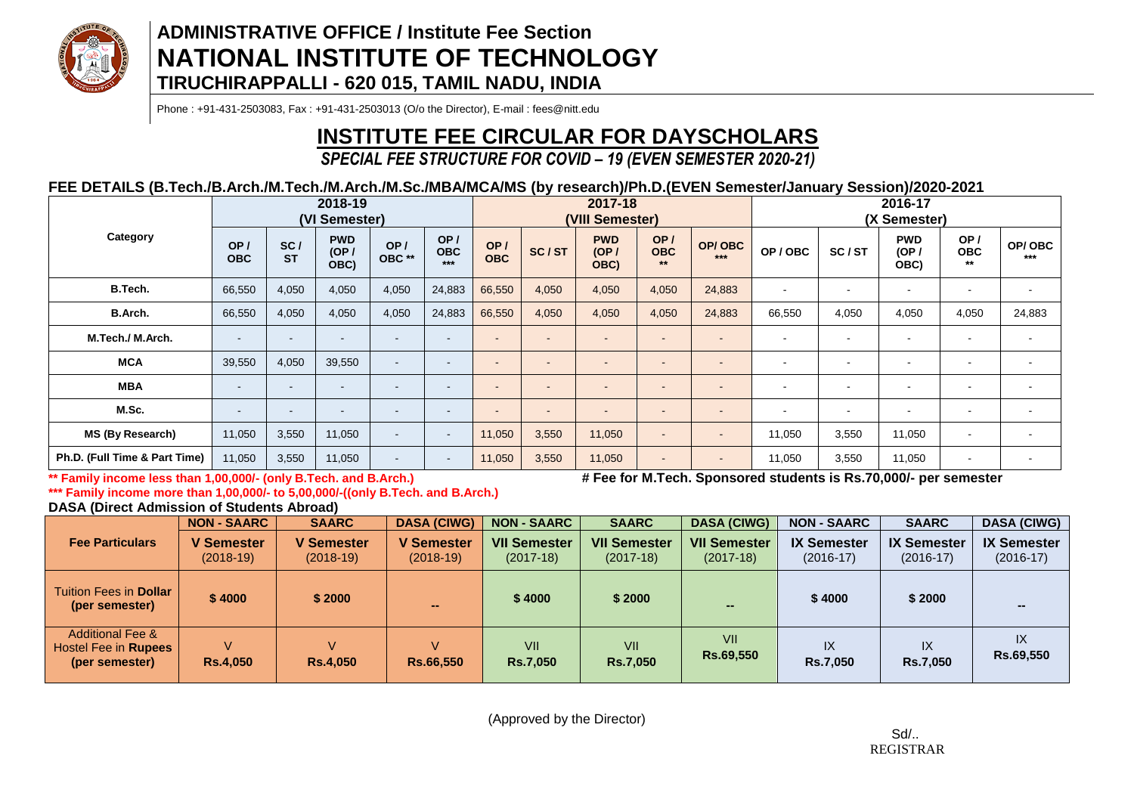

Phone : +91-431-2503083, Fax : +91-431-2503013 (O/o the Director), E-mail : fees@nitt.edu

# **INSTITUTE FEE CIRCULAR FOR DAYSCHOLARS**

# *SPECIAL FEE STRUCTURE FOR COVID – 19 (EVEN SEMESTER 2020-21)*

### **FEE DETAILS (B.Tech./B.Arch./M.Tech./M.Arch./M.Sc./MBA/MCA/MS (by research)/Ph.D.(EVEN Semester/January Session)/2020-2021**

|                               | 2018-19<br>(VI Semester) |                  |                            |                          |                            |                   | 2017-18<br>(VIII Semester) |                            |                           |                          |                | 2016-17<br>(X Semester)  |                            |                            |                          |
|-------------------------------|--------------------------|------------------|----------------------------|--------------------------|----------------------------|-------------------|----------------------------|----------------------------|---------------------------|--------------------------|----------------|--------------------------|----------------------------|----------------------------|--------------------------|
| Category                      | OP/<br><b>OBC</b>        | SC/<br><b>ST</b> | <b>PWD</b><br>(OP)<br>OBC) | OP/<br>OBC **            | OP/<br><b>OBC</b><br>$***$ | OP/<br><b>OBC</b> | SC/ST                      | <b>PWD</b><br>(OP)<br>OBC) | OP/<br><b>OBC</b><br>$**$ | OP/OBC<br>$***$          | OP/OBC         | SC/ST                    | <b>PWD</b><br>(OP/<br>OBC) | OP/<br><b>OBC</b><br>$***$ | OP/OBC<br>$***$          |
| B.Tech.                       | 66,550                   | 4,050            | 4,050                      | 4,050                    | 24,883                     | 66,550            | 4,050                      | 4,050                      | 4,050                     | 24,883                   | $\sim$         | $\overline{\phantom{a}}$ | $\blacksquare$             | $\overline{\phantom{a}}$   | $\blacksquare$           |
| B.Arch.                       | 66,550                   | 4,050            | 4,050                      | 4,050                    | 24,883                     | 66,550            | 4,050                      | 4,050                      | 4,050                     | 24,883                   | 66,550         | 4,050                    | 4,050                      | 4,050                      | 24,883                   |
| M.Tech./ M.Arch.              | $\overline{\phantom{a}}$ | ۰.               | $\overline{\phantom{0}}$   |                          | $\sim$                     | $\overline{a}$    |                            | $\overline{\phantom{a}}$   | $\overline{\phantom{a}}$  | $\overline{a}$           | $\blacksquare$ | $\overline{\phantom{a}}$ | $\overline{\phantom{a}}$   | $\overline{\phantom{a}}$   | $\overline{\phantom{a}}$ |
| <b>MCA</b>                    | 39,550                   | 4,050            | 39,550                     | $\overline{\phantom{a}}$ | $\overline{\phantom{a}}$   | $\overline{a}$    | -                          |                            | $\overline{\phantom{a}}$  | $\overline{\phantom{a}}$ | $\blacksquare$ |                          | $\overline{\phantom{a}}$   | $\overline{\phantom{a}}$   | $\blacksquare$           |
| <b>MBA</b>                    | $\sim$                   | $\sim$           | $\overline{\phantom{a}}$   | -                        | $\overline{\phantom{a}}$   | $\sim$            | $\blacksquare$             | $\overline{\phantom{0}}$   | $\blacksquare$            | $\overline{\phantom{a}}$ | $\blacksquare$ | $\overline{\phantom{0}}$ | $\overline{\phantom{a}}$   | $\overline{\phantom{a}}$   | $\blacksquare$           |
| M.Sc.                         | $\overline{\phantom{a}}$ | ۰.               | $\overline{\phantom{a}}$   |                          | $\overline{\phantom{a}}$   | $\overline{a}$    | $\overline{\phantom{a}}$   |                            | $\overline{\phantom{a}}$  | $\overline{\phantom{a}}$ | $\blacksquare$ | $\sim$                   | $\overline{\phantom{a}}$   | $\overline{\phantom{a}}$   | $\sim$                   |
| MS (By Research)              | 11,050                   | 3,550            | 11,050                     |                          | $\sim$                     | 11,050            | 3,550                      | 11,050                     | $\blacksquare$            | $\blacksquare$           | 11,050         | 3,550                    | 11,050                     | $\blacksquare$             | $\overline{\phantom{a}}$ |
| Ph.D. (Full Time & Part Time) | 11,050                   | 3,550            | 11,050                     | -                        | $\sim$                     | 11,050            | 3,550                      | 11,050                     | $\blacksquare$            | $\blacksquare$           | 11,050         | 3,550                    | 11,050                     | $\blacksquare$             |                          |

**\*\* Family income less than 1,00,000/- (only B.Tech. and B.Arch.) # Fee for M.Tech. Sponsored students is Rs.70,000/- per semester**

**\*\*\* Family income more than 1,00,000/- to 5,00,000/-((only B.Tech. and B.Arch.)**

**DASA (Direct Admission of Students Abroad)**

|                                                                              | <b>NON-SAARC</b>                 | <b>SAARC</b>                     | <b>DASA (CIWG)</b>        | <b>NON - SAARC</b>                 | <b>SAARC</b>                       | <b>DASA (CIWG)</b>                 | <b>NON - SAARC</b>                | <b>SAARC</b>                      | <b>DASA (CIWG)</b>                |
|------------------------------------------------------------------------------|----------------------------------|----------------------------------|---------------------------|------------------------------------|------------------------------------|------------------------------------|-----------------------------------|-----------------------------------|-----------------------------------|
| <b>Fee Particulars</b>                                                       | <b>V</b> Semester<br>$(2018-19)$ | <b>V Semester</b><br>$(2018-19)$ | V Semester<br>$(2018-19)$ | <b>VII Semester</b><br>$(2017-18)$ | <b>VII Semester</b><br>$(2017-18)$ | <b>VII Semester</b><br>$(2017-18)$ | <b>IX Semester</b><br>$(2016-17)$ | <b>IX Semester</b><br>$(2016-17)$ | <b>IX Semester</b><br>$(2016-17)$ |
| Tuition Fees in <b>Dollar</b> I<br>(per semester)                            | \$4000                           | \$2000                           | $\sim$                    | \$4000                             | \$2000                             |                                    | \$4000                            | \$2000                            |                                   |
| <b>Additional Fee &amp;</b><br>Hostel Fee in <b>Rupees</b><br>(per semester) | <b>Rs.4,050</b>                  | $\mathcal{L}$<br><b>Rs.4,050</b> | V<br>Rs.66,550            | VII<br><b>Rs.7,050</b>             | VII<br><b>Rs.7,050</b>             | VII<br>Rs.69,550                   | IX<br><b>Rs.7,050</b>             | IX<br><b>Rs.7.050</b>             | IX<br>Rs.69,550                   |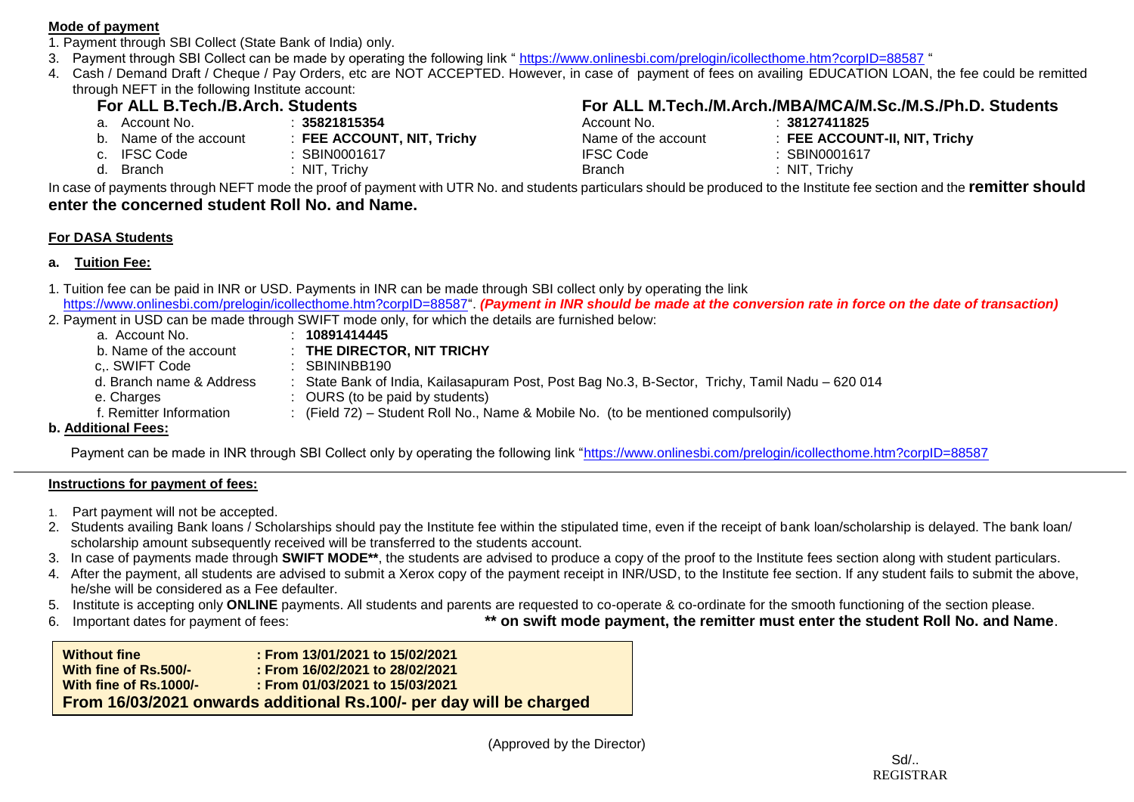### **Mode of payment**

- 1. Payment through SBI Collect (State Bank of India) only.
- 3. Payment through SBI Collect can be made by operating the following link "<https://www.onlinesbi.com/prelogin/icollecthome.htm?corpID=88587> "
- 4. Cash / Demand Draft / Cheque / Pay Orders, etc are NOT ACCEPTED. However, in case of payment of fees on availing EDUCATION LOAN, the fee could be remitted through NEFT in the following Institute account:

- 
- b. Name of the account : **FEE ACCOUNT, NIT, Trichy**<br>C. IFSC Code : **SBIN0001617**
- c. IFSC Code
	-

# **For ALL B.Tech./B.Arch. Students**<br>**Robert All M.Tech./M.Arch./MBA/MCA/M.Sc./M.S./Ph.D. Students**<br>Account No. 198127411825<br>38127411825

| a. Account No.         | 35821815354                           | Account No.         | 38127411825                   |
|------------------------|---------------------------------------|---------------------|-------------------------------|
| b. Name of the account | $\therefore$ FEE ACCOUNT, NIT, Trichy | Name of the account | : FEE ACCOUNT-II, NIT, Trichy |
| c. IFSC Code           | SBIN0001617                           | <b>IFSC Code</b>    | : SBIN0001617                 |
| d. Branch              | NIT, Trichy                           | <b>Branch</b>       | : NIT, Trichy                 |

In case of payments through NEFT mode the proof of payment with UTR No. and students particulars should be produced to the Institute fee section and the **remitter should enter the concerned student Roll No. and Name.**

### **For DASA Students**

### **a. Tuition Fee:**

- 1. Tuition fee can be paid in INR or USD. Payments in INR can be made through SBI collect only by operating the link [https://www.onlinesbi.com/prelogin/icollecthome.htm?corpID=88587"](https://www.onlinesbi.com/prelogin/icollecthome.htm?corpID=88587). *(Payment in INR should be made at the conversion rate in force on the date of transaction)*
- 2. Payment in USD can be made through SWIFT mode only, for which the details are furnished below:

| a. Account No.           | 10891414445                                                                                     |
|--------------------------|-------------------------------------------------------------------------------------------------|
| b. Name of the account   | : THE DIRECTOR, NIT TRICHY                                                                      |
| c., SWIFT Code           | SBININBB190                                                                                     |
| d. Branch name & Address | : State Bank of India, Kailasapuram Post, Post Bag No.3, B-Sector, Trichy, Tamil Nadu - 620 014 |
| e. Charges               | $\therefore$ OURS (to be paid by students)                                                      |
| f. Remitter Information  | : (Field 72) – Student Roll No., Name & Mobile No. (to be mentioned compulsorily)               |
| dditional Eogai          |                                                                                                 |

### **b. Additional Fees:**

Payment can be made in INR through SBI Collect only by operating the following link ["https://www.onlinesbi.com/prelogin/icollecthome.htm?corpID=88587](https://www.onlinesbi.com/prelogin/icollecthome.htm?corpID=88587)

### **Instructions for payment of fees:**

- 1. Part payment will not be accepted.
- 2. Students availing Bank loans / Scholarships should pay the Institute fee within the stipulated time, even if the receipt of bank loan/scholarship is delayed. The bank loan/ scholarship amount subsequently received will be transferred to the students account.
- 3. In case of payments made through **SWIFT MODE\*\***, the students are advised to produce a copy of the proof to the Institute fees section along with student particulars.
- 4. After the payment, all students are advised to submit a Xerox copy of the payment receipt in INR/USD, to the Institute fee section. If any student fails to submit the above, he/she will be considered as a Fee defaulter.
- 5. Institute is accepting only **ONLINE** payments. All students and parents are requested to co-operate & co-ordinate for the smooth functioning of the section please.
- 

6. Important dates for payment of fees: **\*\* on swift mode payment, the remitter must enter the student Roll No. and Name**.

| <b>Without fine</b>    | : From 13/01/2021 to 15/02/2021                                     |
|------------------------|---------------------------------------------------------------------|
| With fine of Rs.500/-  | : From 16/02/2021 to 28/02/2021                                     |
| With fine of Rs.1000/- | : From 01/03/2021 to 15/03/2021                                     |
|                        | From 16/03/2021 onwards additional Rs.100/- per day will be charged |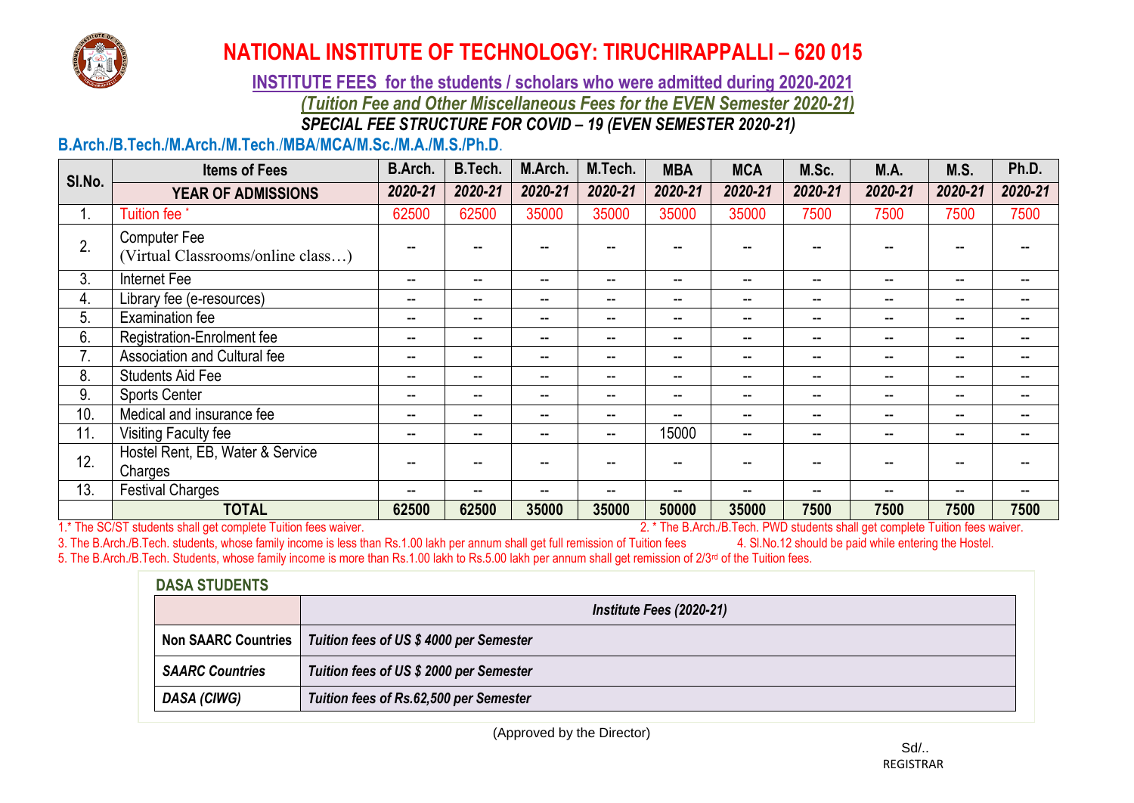

**INSTITUTE FEES for the students / scholars who were admitted during 2020-2021** *(Tuition Fee and Other Miscellaneous Fees for the EVEN Semester 2020-21) SPECIAL FEE STRUCTURE FOR COVID – 19 (EVEN SEMESTER 2020-21)*

### **B.Arch./B.Tech./M.Arch./M.Tech**./**MBA**/**MCA/M.Sc./M.A./M.S./Ph.D**.

|        | <b>Items of Fees</b>                                                          | <b>B.Arch.</b>           | B.Tech.                  | M.Arch. | M.Tech. | <b>MBA</b> | <b>MCA</b>               | M.Sc.                    | M.A.                                                                                | M.S.    | Ph.D.   |
|--------|-------------------------------------------------------------------------------|--------------------------|--------------------------|---------|---------|------------|--------------------------|--------------------------|-------------------------------------------------------------------------------------|---------|---------|
| SI.No. | <b>YEAR OF ADMISSIONS</b>                                                     | 2020-21                  | 2020-21                  | 2020-21 | 2020-21 | 2020-21    | 2020-21                  | 2020-21                  | 2020-21                                                                             | 2020-21 | 2020-21 |
| 1.     | <b>Tuition fee</b>                                                            | 62500                    | 62500                    | 35000   | 35000   | 35000      | 35000                    | 7500                     | 7500                                                                                | 7500    | 7500    |
| 2.     | <b>Computer Fee</b><br>(Virtual Classrooms/online class)                      |                          |                          |         |         |            |                          |                          |                                                                                     |         |         |
| 3.     | Internet Fee                                                                  | $\hspace{0.05cm}$        | $- -$                    | --      | --      | --         | $\overline{\phantom{a}}$ | $\sim$                   | --                                                                                  | --      | --      |
| 4.     | Library fee (e-resources)                                                     | $\overline{\phantom{a}}$ | --                       | --      | --      | $- -$      | $\overline{\phantom{a}}$ | $\overline{\phantom{m}}$ | --                                                                                  | $- -$   | $-$     |
| 5.     | <b>Examination fee</b>                                                        | $\sim$                   | --                       | --      | --      | $- -$      | $\overline{\phantom{a}}$ | $\overline{\phantom{m}}$ | --                                                                                  | $- -$   | $- -$   |
| 6.     | Registration-Enrolment fee                                                    | $\overline{\phantom{a}}$ | --                       | --      | --      | $- -$      | $\overline{\phantom{a}}$ | $\overline{\phantom{m}}$ | --                                                                                  | --      | $- -$   |
| 7.     | Association and Cultural fee                                                  | $\hspace{0.05cm}$ –      | $\overline{\phantom{a}}$ | --      | --      | $-$        | $\overline{\phantom{a}}$ | $\overline{\phantom{m}}$ | --                                                                                  | --      | --      |
| 8.     | <b>Students Aid Fee</b>                                                       | $\sim$                   | --                       | --      | --      | $-$        | --                       | $\sim$                   | --                                                                                  | --      |         |
| 9.     | <b>Sports Center</b>                                                          | $\sim$                   | $- -$                    | --      | --      | $-$        | $-$                      | $\sim$                   | --                                                                                  | --      |         |
| 10.    | Medical and insurance fee                                                     | $\overline{\phantom{a}}$ | --                       | --      | --      | --         | $\overline{\phantom{a}}$ | $\sim$                   | --                                                                                  | --      |         |
| 11.    | Visiting Faculty fee                                                          | --                       | --                       | --      | --      | 15000      | --                       | $- -$                    |                                                                                     | --      |         |
| 12.    | Hostel Rent, EB, Water & Service<br>Charges                                   |                          |                          |         |         |            |                          |                          |                                                                                     |         |         |
| 13.    | <b>Festival Charges</b>                                                       | --                       | --                       | --      | --      | --         | --                       | $\sim$                   |                                                                                     | --      |         |
|        | <b>TOTAL</b><br>1 * The CO/CT students shall get complete Tuitian face waiver | 62500                    | 62500                    | 35000   | 35000   | 50000      | 35000                    | 7500                     | 7500<br>2 * The B Arch (B Tech, BMD students shall get complete Tuition fees wayser | 7500    | 7500    |

1.\* The SC/ST students shall get complete Tuition fees waiver. 2. \* The B.Arch./B.Tech. PWD students shall get complete Tuition fees waiver. 3. The B.Arch./B.Tech. students, whose family income is less than Rs.1.00 lakh per annum shall get full remission of Tuition fees 4. Sl.No.12 should be paid while entering the Hostel. 5. The B.Arch./B.Tech. Students, whose family income is more than Rs.1.00 lakh to Rs.5.00 lakh per annum shall get remission of 2/3<sup>rd</sup> of the Tuition fees.

| <b>DASA STUDENTS</b>   |                                                              |  |  |  |  |  |
|------------------------|--------------------------------------------------------------|--|--|--|--|--|
|                        | Institute Fees (2020-21)                                     |  |  |  |  |  |
|                        | Non SAARC Countries   Tuition fees of US \$4000 per Semester |  |  |  |  |  |
| <b>SAARC Countries</b> | Tuition fees of US \$ 2000 per Semester                      |  |  |  |  |  |
| DASA (CIWG)            | Tuition fees of Rs.62,500 per Semester                       |  |  |  |  |  |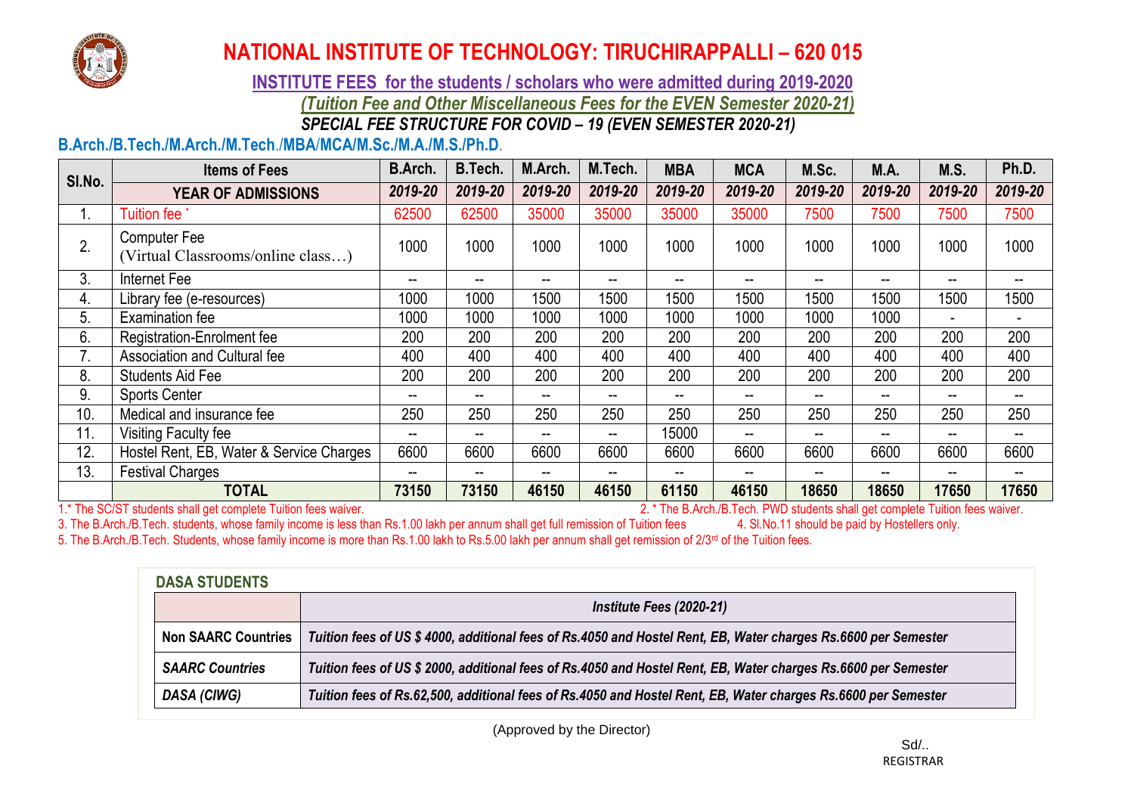

### **INSTITUTE FEES for the students / scholars who were admitted during 2019-2020** *(Tuition Fee and Other Miscellaneous Fees for the EVEN Semester 2020-21) SPECIAL FEE STRUCTURE FOR COVID – 19 (EVEN SEMESTER 2020-21)*

### **B.Arch./B.Tech./M.Arch./M.Tech**./**MBA**/**MCA/M.Sc./M.A./M.S./Ph.D**.

| SI.No. | <b>Items of Fees</b>                                     | <b>B.Arch.</b>           | B.Tech. | M.Arch. | M.Tech. | <b>MBA</b>               | <b>MCA</b> | M.Sc.                    | M.A.    | M.S.                     | Ph.D.   |
|--------|----------------------------------------------------------|--------------------------|---------|---------|---------|--------------------------|------------|--------------------------|---------|--------------------------|---------|
|        | <b>YEAR OF ADMISSIONS</b>                                | 2019-20                  | 2019-20 | 2019-20 | 2019-20 | 2019-20                  | 2019-20    | 2019-20                  | 2019-20 | 2019-20                  | 2019-20 |
|        | <b>Tuition fee</b>                                       | 62500                    | 62500   | 35000   | 35000   | 35000                    | 35000      | 7500                     | 7500    | 7500                     | 7500    |
| 2.     | <b>Computer Fee</b><br>(Virtual Classrooms/online class) | 1000                     | 1000    | 1000    | 1000    | 1000                     | 1000       | 1000                     | 1000    | 1000                     | 1000    |
| 3.     | Internet Fee                                             | $\overline{\phantom{m}}$ | $- -$   | $-$     | $-$     | $\overline{\phantom{m}}$ | --         | --                       | --      | --                       | --      |
| 4.     | Library fee (e-resources)                                | 1000                     | 1000    | 1500    | 1500    | 1500                     | 1500       | 1500                     | 1500    | 1500                     | 1500    |
| 5.     | Examination fee                                          | 1000                     | 1000    | 1000    | 1000    | 1000                     | 1000       | 1000                     | 1000    |                          |         |
| 6.     | Registration-Enrolment fee                               | 200                      | 200     | 200     | 200     | 200                      | 200        | 200                      | 200     | 200                      | 200     |
| 7.     | Association and Cultural fee                             | 400                      | 400     | 400     | 400     | 400                      | 400        | 400                      | 400     | 400                      | 400     |
| 8.     | <b>Students Aid Fee</b>                                  | 200                      | 200     | 200     | 200     | 200                      | 200        | 200                      | 200     | 200                      | 200     |
| 9.     | <b>Sports Center</b>                                     | $-$                      | $- -$   | $- -$   | $\sim$  | $\sim$                   | --         | --                       | $- -$   | $\overline{\phantom{a}}$ | $-$     |
| 10.    | Medical and insurance fee                                | 250                      | 250     | 250     | 250     | 250                      | 250        | 250                      | 250     | 250                      | 250     |
| 11.    | Visiting Faculty fee                                     | $\overline{\phantom{m}}$ | $-$     | $-$     | $\sim$  | 15000                    | --         | --                       | --      | $\overline{\phantom{a}}$ | --      |
| 12.    | Hostel Rent, EB, Water & Service Charges                 | 6600                     | 6600    | 6600    | 6600    | 6600                     | 6600       | 6600                     | 6600    | 6600                     | 6600    |
| 13.    | <b>Festival Charges</b>                                  | $-$                      | $- -$   | $-$     | $\sim$  | $\sim$                   | --         | $\overline{\phantom{m}}$ | $- -$   | $\overline{\phantom{a}}$ | $-$     |
|        | <b>TOTAL</b>                                             | 73150                    | 73150   | 46150   | 46150   | 61150                    | 46150      | 18650                    | 18650   | 17650                    | 17650   |

1.\* The SC/ST students shall get complete Tuition fees waiver.<br>
3. The B.Arch./B.Tech. PWD students shall get complete Tuition fees waiver.<br>
3. The B.Arch./B.Tech. PWD students shall get complete Tuition fees waiver.<br>
3. T 3. The B.Arch./B.Tech. students, whose family income is less than Rs.1.00 lakh per annum shall get full remission of Tuition fees 5. The B.Arch./B.Tech. Students, whose family income is more than Rs.1.00 lakh to Rs.5.00 lakh per annum shall get remission of 2/3<sup>rd</sup> of the Tuition fees.

| <b>DASA STUDENTS</b>       |                                                                                                                |  |  |  |  |  |
|----------------------------|----------------------------------------------------------------------------------------------------------------|--|--|--|--|--|
|                            | Institute Fees (2020-21)                                                                                       |  |  |  |  |  |
| <b>Non SAARC Countries</b> | Tuition fees of US \$ 4000, additional fees of Rs.4050 and Hostel Rent, EB, Water charges Rs.6600 per Semester |  |  |  |  |  |
| <b>SAARC Countries</b>     | Tuition fees of US \$ 2000, additional fees of Rs.4050 and Hostel Rent, EB, Water charges Rs.6600 per Semester |  |  |  |  |  |
| DASA (CIWG)                | Tuition fees of Rs.62,500, additional fees of Rs.4050 and Hostel Rent, EB, Water charges Rs.6600 per Semester  |  |  |  |  |  |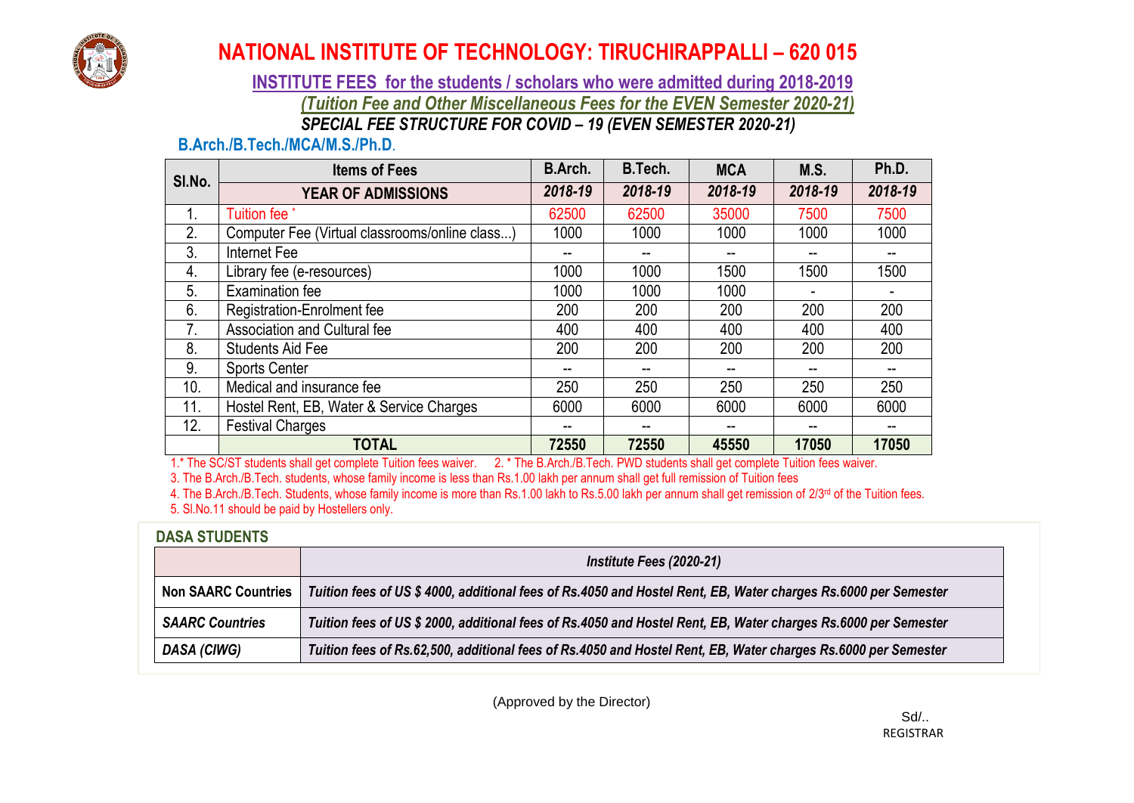

### **INSTITUTE FEES for the students / scholars who were admitted during 2018-2019** *(Tuition Fee and Other Miscellaneous Fees for the EVEN Semester 2020-21) SPECIAL FEE STRUCTURE FOR COVID – 19 (EVEN SEMESTER 2020-21)*

### **B.Arch./B.Tech./MCA/M.S./Ph.D**.

| SI.No. | <b>Items of Fees</b>                           | <b>B.Arch.</b> | B.Tech. | <b>MCA</b> | <b>M.S.</b> | Ph.D.   |
|--------|------------------------------------------------|----------------|---------|------------|-------------|---------|
|        | <b>YEAR OF ADMISSIONS</b>                      | 2018-19        | 2018-19 | 2018-19    | 2018-19     | 2018-19 |
| 1.     | Tuition fee                                    | 62500          | 62500   | 35000      | 7500        | 7500    |
| 2.     | Computer Fee (Virtual classrooms/online class) | 1000           | 1000    | 1000       | 1000        | 1000    |
| 3.     | Internet Fee                                   |                |         |            |             |         |
| 4.     | Library fee (e-resources)                      | 1000           | 1000    | 1500       | 1500        | 1500    |
| 5.     | <b>Examination fee</b>                         | 1000           | 1000    | 1000       |             |         |
| 6.     | Registration-Enrolment fee                     | 200            | 200     | 200        | 200         | 200     |
| 7.     | Association and Cultural fee                   | 400            | 400     | 400        | 400         | 400     |
| 8.     | <b>Students Aid Fee</b>                        | 200            | 200     | 200        | 200         | 200     |
| 9.     | <b>Sports Center</b>                           |                | --      |            |             |         |
| 10.    | Medical and insurance fee                      | 250            | 250     | 250        | 250         | 250     |
| 11.    | Hostel Rent, EB, Water & Service Charges       | 6000           | 6000    | 6000       | 6000        | 6000    |
| 12.    | <b>Festival Charges</b>                        |                | $-$     |            |             |         |
|        | <b>TOTAL</b>                                   | 72550          | 72550   | 45550      | 17050       | 17050   |

1.\* The SC/ST students shall get complete Tuition fees waiver. 2. \* The B.Arch./B.Tech. PWD students shall get complete Tuition fees waiver.

3. The B.Arch./B.Tech. students, whose family income is less than Rs.1.00 lakh per annum shall get full remission of Tuition fees

4. The B.Arch./B.Tech. Students, whose family income is more than Rs.1.00 lakh to Rs.5.00 lakh per annum shall get remission of  $2/3^{rd}$  of the Tuition fees. 5. Sl.No.11 should be paid by Hostellers only.

### **DASA STUDENTS**

|                            | Institute Fees (2020-21)                                                                                       |  |  |  |  |  |  |
|----------------------------|----------------------------------------------------------------------------------------------------------------|--|--|--|--|--|--|
| <b>Non SAARC Countries</b> | Tuition fees of US \$ 4000, additional fees of Rs.4050 and Hostel Rent, EB, Water charges Rs.6000 per Semester |  |  |  |  |  |  |
| <b>SAARC Countries</b>     | Tuition fees of US \$ 2000, additional fees of Rs.4050 and Hostel Rent, EB, Water charges Rs.6000 per Semester |  |  |  |  |  |  |
| DASA (CIWG)                | Tuition fees of Rs.62,500, additional fees of Rs.4050 and Hostel Rent, EB, Water charges Rs.6000 per Semester  |  |  |  |  |  |  |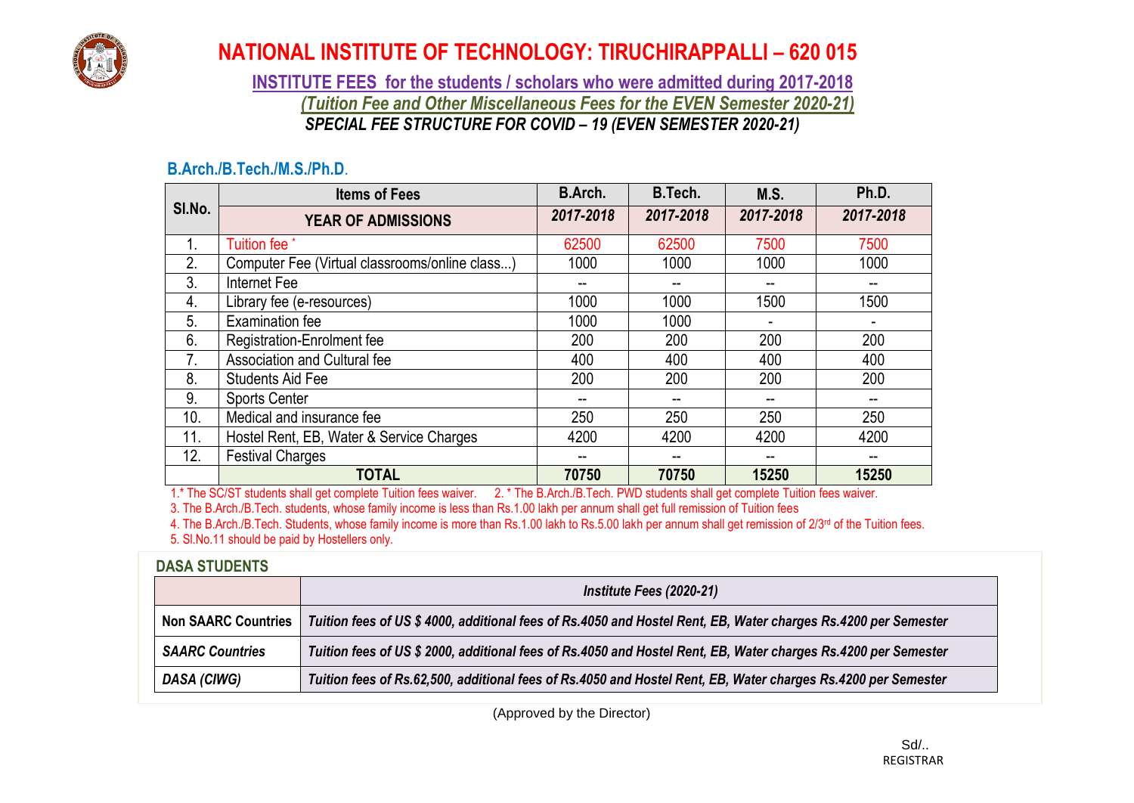

**INSTITUTE FEES for the students / scholars who were admitted during 2017-2018** *(Tuition Fee and Other Miscellaneous Fees for the EVEN Semester 2020-21) SPECIAL FEE STRUCTURE FOR COVID – 19 (EVEN SEMESTER 2020-21)*

### **B.Arch./B.Tech./M.S./Ph.D**.

|                | <b>Items of Fees</b>                           | B.Arch.   | B.Tech.   | M.S.      | Ph.D.     |
|----------------|------------------------------------------------|-----------|-----------|-----------|-----------|
| SI.No.         | <b>YEAR OF ADMISSIONS</b>                      | 2017-2018 | 2017-2018 | 2017-2018 | 2017-2018 |
| 1.             | Tuition fee <sup>*</sup>                       | 62500     | 62500     | 7500      | 7500      |
| 2.             | Computer Fee (Virtual classrooms/online class) | 1000      | 1000      | 1000      | 1000      |
| 3.             | Internet Fee                                   |           |           |           | --        |
| 4.             | Library fee (e-resources)                      | 1000      | 1000      | 1500      | 1500      |
| 5.             | Examination fee                                | 1000      | 1000      |           |           |
| 6.             | <b>Registration-Enrolment fee</b>              | 200       | 200       | 200       | 200       |
| 7 <sub>1</sub> | Association and Cultural fee                   | 400       | 400       | 400       | 400       |
| 8.             | <b>Students Aid Fee</b>                        | 200       | 200       | 200       | 200       |
| 9.             | <b>Sports Center</b>                           | --        |           |           | --        |
| 10.            | Medical and insurance fee                      | 250       | 250       | 250       | 250       |
| 11.            | Hostel Rent, EB, Water & Service Charges       | 4200      | 4200      | 4200      | 4200      |
| 12.            | <b>Festival Charges</b>                        | --        |           | --        | --        |
|                | <b>TOTAL</b>                                   | 70750     | 70750     | 15250     | 15250     |

1.\* The SC/ST students shall get complete Tuition fees waiver. 2. \* The B.Arch./B.Tech. PWD students shall get complete Tuition fees waiver.

3. The B.Arch./B.Tech. students, whose family income is less than Rs.1.00 lakh per annum shall get full remission of Tuition fees

4. The B.Arch./B.Tech. Students, whose family income is more than Rs.1.00 lakh to Rs.5.00 lakh per annum shall get remission of 2/3<sup>rd</sup> of the Tuition fees. 5. Sl.No.11 should be paid by Hostellers only.

### **DASA STUDENTS**

|                            | Institute Fees (2020-21)                                                                                       |
|----------------------------|----------------------------------------------------------------------------------------------------------------|
| <b>Non SAARC Countries</b> | Tuition fees of US \$ 4000, additional fees of Rs.4050 and Hostel Rent, EB, Water charges Rs.4200 per Semester |
| <b>SAARC Countries</b>     | Tuition fees of US \$ 2000, additional fees of Rs.4050 and Hostel Rent, EB, Water charges Rs.4200 per Semester |
| DASA (CIWG)                | Tuition fees of Rs.62,500, additional fees of Rs.4050 and Hostel Rent, EB, Water charges Rs.4200 per Semester  |